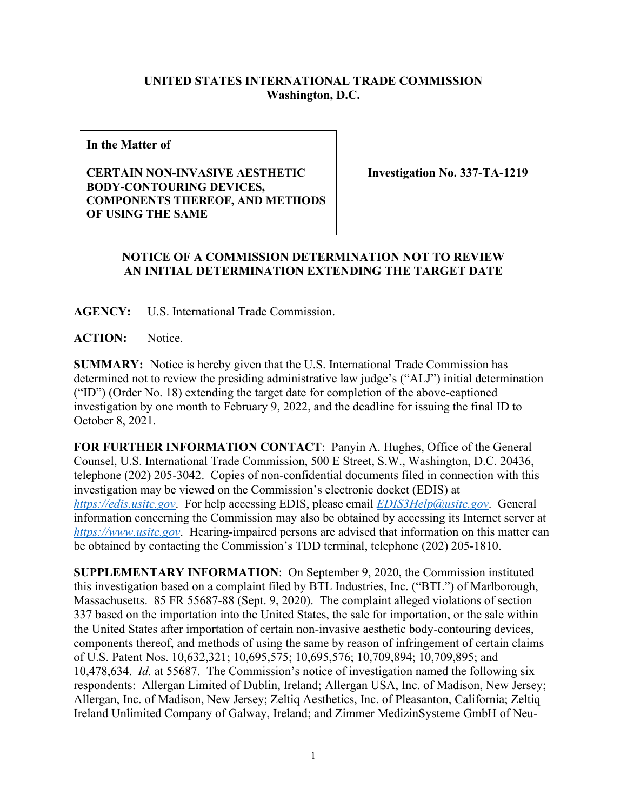## **UNITED STATES INTERNATIONAL TRADE COMMISSION Washington, D.C.**

**In the Matter of** 

## **CERTAIN NON-INVASIVE AESTHETIC BODY-CONTOURING DEVICES, COMPONENTS THEREOF, AND METHODS OF USING THE SAME**

**Investigation No. 337-TA-1219**

## **NOTICE OF A COMMISSION DETERMINATION NOT TO REVIEW AN INITIAL DETERMINATION EXTENDING THE TARGET DATE**

**AGENCY:** U.S. International Trade Commission.

**ACTION:** Notice.

**SUMMARY:** Notice is hereby given that the U.S. International Trade Commission has determined not to review the presiding administrative law judge's ("ALJ") initial determination ("ID") (Order No. 18) extending the target date for completion of the above-captioned investigation by one month to February 9, 2022, and the deadline for issuing the final ID to October 8, 2021.

**FOR FURTHER INFORMATION CONTACT**: Panyin A. Hughes, Office of the General Counsel, U.S. International Trade Commission, 500 E Street, S.W., Washington, D.C. 20436, telephone (202) 205-3042. Copies of non-confidential documents filed in connection with this investigation may be viewed on the Commission's electronic docket (EDIS) at *[https://edis.usitc.gov](https://edis.usitc.gov/)*. For help accessing EDIS, please email *[EDIS3Help@usitc.gov](mailto:EDIS3Help@usitc.gov)*. General information concerning the Commission may also be obtained by accessing its Internet server at *[https://www.usitc.gov](https://www.usitc.gov/)*. Hearing-impaired persons are advised that information on this matter can be obtained by contacting the Commission's TDD terminal, telephone (202) 205-1810.

**SUPPLEMENTARY INFORMATION**: On September 9, 2020, the Commission instituted this investigation based on a complaint filed by BTL Industries, Inc. ("BTL") of Marlborough, Massachusetts. 85 FR 55687-88 (Sept. 9, 2020). The complaint alleged violations of section 337 based on the importation into the United States, the sale for importation, or the sale within the United States after importation of certain non-invasive aesthetic body-contouring devices, components thereof, and methods of using the same by reason of infringement of certain claims of U.S. Patent Nos. 10,632,321; 10,695,575; 10,695,576; 10,709,894; 10,709,895; and 10,478,634. *Id.* at 55687. The Commission's notice of investigation named the following six respondents: Allergan Limited of Dublin, Ireland; Allergan USA, Inc. of Madison, New Jersey; Allergan, Inc. of Madison, New Jersey; Zeltiq Aesthetics, Inc. of Pleasanton, California; Zeltiq Ireland Unlimited Company of Galway, Ireland; and Zimmer MedizinSysteme GmbH of Neu